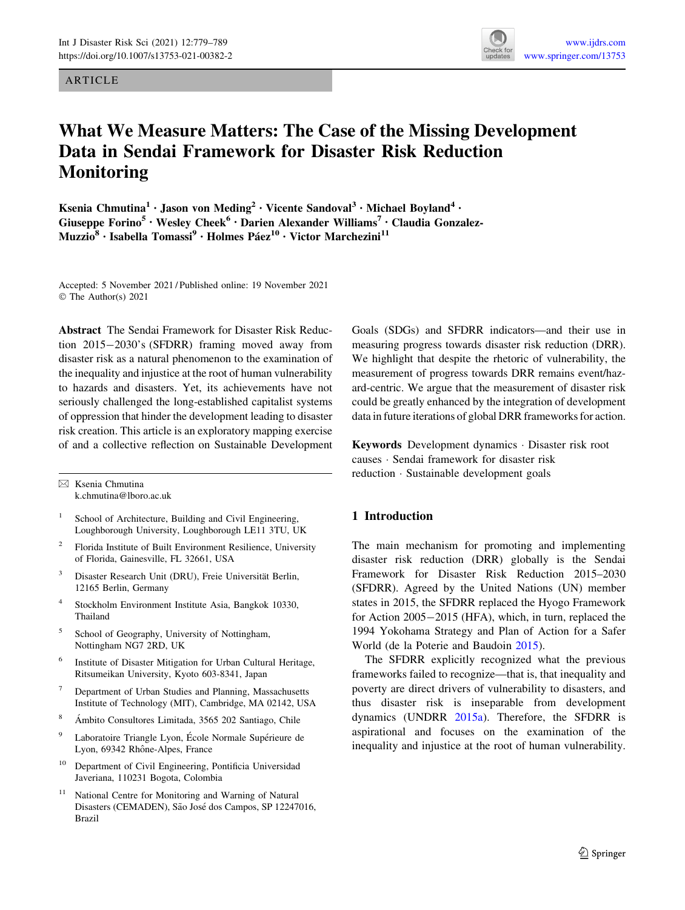## ARTICLE



# What We Measure Matters: The Case of the Missing Development Data in Sendai Framework for Disaster Risk Reduction Monitoring

Ksenia Chmutina<sup>1</sup> · Jason von Meding<sup>2</sup> · Vicente Sandoval<sup>3</sup> · Michael Boyland<sup>4</sup> · Giuseppe Forino<sup>5</sup> · Wesley Cheek<sup>6</sup> · Darien Alexander Williams<sup>7</sup> · Claudia Gonzalez-Muzzio<sup>8</sup> · Isabella Tomassi<sup>9</sup> · Holmes Páez<sup>10</sup> · Victor Marchezini<sup>11</sup>

Accepted: 5 November 2021 / Published online: 19 November 2021 © The Author(s) 2021

Abstract The Sendai Framework for Disaster Risk Reduction 2015-2030's (SFDRR) framing moved away from disaster risk as a natural phenomenon to the examination of the inequality and injustice at the root of human vulnerability to hazards and disasters. Yet, its achievements have not seriously challenged the long-established capitalist systems of oppression that hinder the development leading to disaster risk creation. This article is an exploratory mapping exercise of and a collective reflection on Sustainable Development

 $\boxtimes$  Ksenia Chmutina k.chmutina@lboro.ac.uk

- <sup>1</sup> School of Architecture, Building and Civil Engineering, Loughborough University, Loughborough LE11 3TU, UK
- <sup>2</sup> Florida Institute of Built Environment Resilience, University of Florida, Gainesville, FL 32661, USA
- <sup>3</sup> Disaster Research Unit (DRU), Freie Universität Berlin, 12165 Berlin, Germany
- <sup>4</sup> Stockholm Environment Institute Asia, Bangkok 10330, Thailand
- <sup>5</sup> School of Geography, University of Nottingham, Nottingham NG7 2RD, UK
- Institute of Disaster Mitigation for Urban Cultural Heritage, Ritsumeikan University, Kyoto 603-8341, Japan
- <sup>7</sup> Department of Urban Studies and Planning, Massachusetts Institute of Technology (MIT), Cambridge, MA 02142, USA
- <sup>8</sup> Ámbito Consultores Limitada, 3565 202 Santiago, Chile
- <sup>9</sup> Laboratoire Triangle Lyon, École Normale Supérieure de Lyon, 69342 Rhône-Alpes, France
- <sup>10</sup> Department of Civil Engineering, Pontificia Universidad Javeriana, 110231 Bogota, Colombia
- National Centre for Monitoring and Warning of Natural Disasters (CEMADEN), São José dos Campos, SP 12247016, Brazil

Goals (SDGs) and SFDRR indicators—and their use in measuring progress towards disaster risk reduction (DRR). We highlight that despite the rhetoric of vulnerability, the measurement of progress towards DRR remains event/hazard-centric. We argue that the measurement of disaster risk could be greatly enhanced by the integration of development data in future iterations of global DRR frameworks for action.

Keywords Development dynamics - Disaster risk root causes - Sendai framework for disaster risk reduction - Sustainable development goals

## 1 Introduction

The main mechanism for promoting and implementing disaster risk reduction (DRR) globally is the Sendai Framework for Disaster Risk Reduction 2015–2030 (SFDRR). Agreed by the United Nations (UN) member states in 2015, the SFDRR replaced the Hyogo Framework for Action 2005-2015 (HFA), which, in turn, replaced the 1994 Yokohama Strategy and Plan of Action for a Safer World (de la Poterie and Baudoin [2015](#page-8-0)).

The SFDRR explicitly recognized what the previous frameworks failed to recognize—that is, that inequality and poverty are direct drivers of vulnerability to disasters, and thus disaster risk is inseparable from development dynamics (UNDRR [2015a](#page-9-0)). Therefore, the SFDRR is aspirational and focuses on the examination of the inequality and injustice at the root of human vulnerability.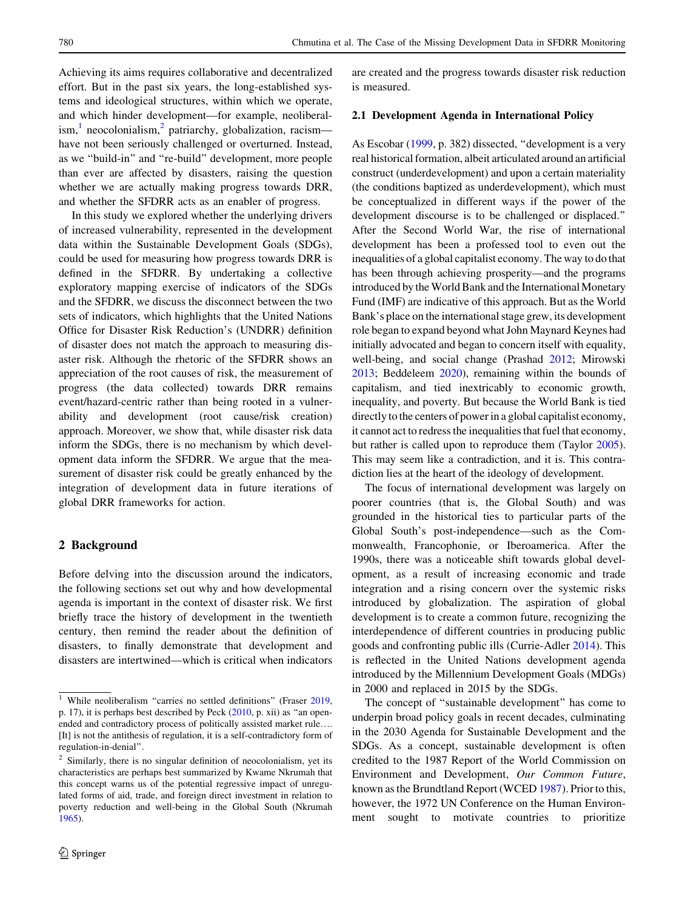Achieving its aims requires collaborative and decentralized effort. But in the past six years, the long-established systems and ideological structures, within which we operate, and which hinder development—for example, neoliberal- $\lim_{h \to 0} \frac{1}{h}$  neocolonialism,  $\lim_{h \to 0} \frac{1}{h}$  patriarchy, globalization, racism have not been seriously challenged or overturned. Instead, as we ''build-in'' and ''re-build'' development, more people than ever are affected by disasters, raising the question whether we are actually making progress towards DRR, and whether the SFDRR acts as an enabler of progress.

In this study we explored whether the underlying drivers of increased vulnerability, represented in the development data within the Sustainable Development Goals (SDGs), could be used for measuring how progress towards DRR is defined in the SFDRR. By undertaking a collective exploratory mapping exercise of indicators of the SDGs and the SFDRR, we discuss the disconnect between the two sets of indicators, which highlights that the United Nations Office for Disaster Risk Reduction's (UNDRR) definition of disaster does not match the approach to measuring disaster risk. Although the rhetoric of the SFDRR shows an appreciation of the root causes of risk, the measurement of progress (the data collected) towards DRR remains event/hazard-centric rather than being rooted in a vulnerability and development (root cause/risk creation) approach. Moreover, we show that, while disaster risk data inform the SDGs, there is no mechanism by which development data inform the SFDRR. We argue that the measurement of disaster risk could be greatly enhanced by the integration of development data in future iterations of global DRR frameworks for action.

## 2 Background

Before delving into the discussion around the indicators, the following sections set out why and how developmental agenda is important in the context of disaster risk. We first briefly trace the history of development in the twentieth century, then remind the reader about the definition of disasters, to finally demonstrate that development and disasters are intertwined—which is critical when indicators are created and the progress towards disaster risk reduction is measured.

#### 2.1 Development Agenda in International Policy

As Escobar ([1999](#page-8-0), p. 382) dissected, ''development is a very real historical formation, albeit articulated around an artificial construct (underdevelopment) and upon a certain materiality (the conditions baptized as underdevelopment), which must be conceptualized in different ways if the power of the development discourse is to be challenged or displaced.'' After the Second World War, the rise of international development has been a professed tool to even out the inequalities of a global capitalist economy. The way to do that has been through achieving prosperity—and the programs introduced by the World Bank and the International Monetary Fund (IMF) are indicative of this approach. But as the World Bank's place on the international stage grew, its development role began to expand beyond what John Maynard Keynes had initially advocated and began to concern itself with equality, well-being, and social change (Prashad [2012;](#page-9-0) Mirowski [2013;](#page-9-0) Beddeleem [2020\)](#page-8-0), remaining within the bounds of capitalism, and tied inextricably to economic growth, inequality, and poverty. But because the World Bank is tied directly to the centers of power in a global capitalist economy, it cannot act to redress the inequalities that fuel that economy, but rather is called upon to reproduce them (Taylor [2005](#page-9-0)). This may seem like a contradiction, and it is. This contradiction lies at the heart of the ideology of development.

The focus of international development was largely on poorer countries (that is, the Global South) and was grounded in the historical ties to particular parts of the Global South's post-independence—such as the Commonwealth, Francophonie, or Iberoamerica. After the 1990s, there was a noticeable shift towards global development, as a result of increasing economic and trade integration and a rising concern over the systemic risks introduced by globalization. The aspiration of global development is to create a common future, recognizing the interdependence of different countries in producing public goods and confronting public ills (Currie-Adler [2014](#page-8-0)). This is reflected in the United Nations development agenda introduced by the Millennium Development Goals (MDGs) in 2000 and replaced in 2015 by the SDGs.

The concept of ''sustainable development'' has come to underpin broad policy goals in recent decades, culminating in the 2030 Agenda for Sustainable Development and the SDGs. As a concept, sustainable development is often credited to the 1987 Report of the World Commission on Environment and Development, Our Common Future, known as the Brundtland Report (WCED [1987\)](#page-10-0). Prior to this, however, the 1972 UN Conference on the Human Environment sought to motivate countries to prioritize

<sup>&</sup>lt;sup>1</sup> While neoliberalism "carries no settled definitions" (Fraser  $2019$ , p. 17), it is perhaps best described by Peck ([2010,](#page-9-0) p. xii) as ''an openended and contradictory process of politically assisted market rule…. [It] is not the antithesis of regulation, it is a self-contradictory form of regulation-in-denial''.

<sup>&</sup>lt;sup>2</sup> Similarly, there is no singular definition of neocolonialism, yet its characteristics are perhaps best summarized by Kwame Nkrumah that this concept warns us of the potential regressive impact of unregulated forms of aid, trade, and foreign direct investment in relation to poverty reduction and well-being in the Global South (Nkrumah [1965\)](#page-9-0).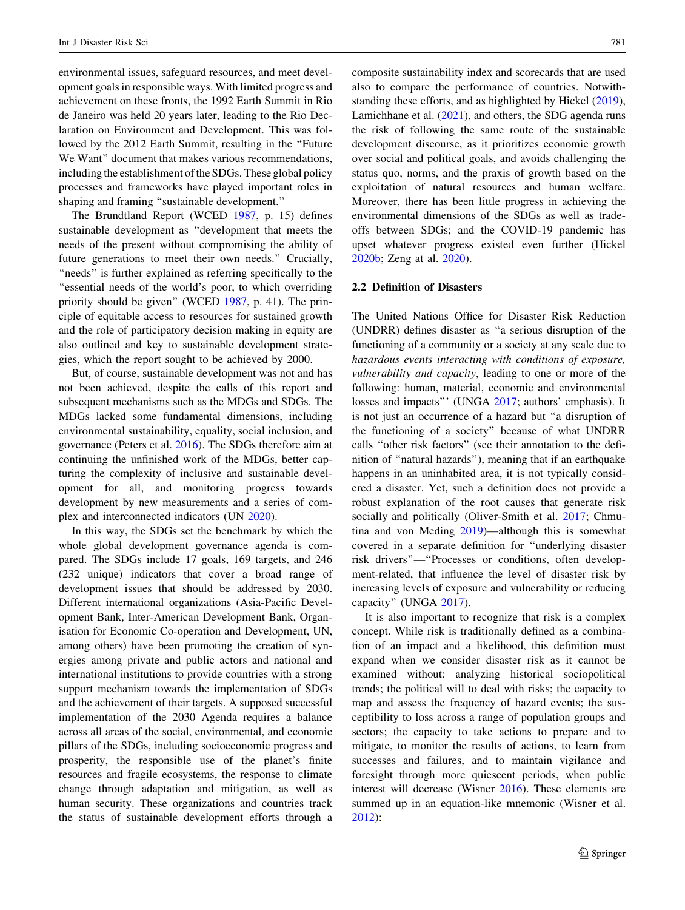environmental issues, safeguard resources, and meet development goals in responsible ways. With limited progress and achievement on these fronts, the 1992 Earth Summit in Rio de Janeiro was held 20 years later, leading to the Rio Declaration on Environment and Development. This was followed by the 2012 Earth Summit, resulting in the ''Future We Want" document that makes various recommendations, including the establishment of the SDGs. These global policy processes and frameworks have played important roles in shaping and framing ''sustainable development.''

The Brundtland Report (WCED [1987,](#page-10-0) p. 15) defines sustainable development as ''development that meets the needs of the present without compromising the ability of future generations to meet their own needs.'' Crucially, "needs" is further explained as referring specifically to the ''essential needs of the world's poor, to which overriding priority should be given'' (WCED [1987,](#page-10-0) p. 41). The principle of equitable access to resources for sustained growth and the role of participatory decision making in equity are also outlined and key to sustainable development strategies, which the report sought to be achieved by 2000.

But, of course, sustainable development was not and has not been achieved, despite the calls of this report and subsequent mechanisms such as the MDGs and SDGs. The MDGs lacked some fundamental dimensions, including environmental sustainability, equality, social inclusion, and governance (Peters et al. [2016](#page-9-0)). The SDGs therefore aim at continuing the unfinished work of the MDGs, better capturing the complexity of inclusive and sustainable development for all, and monitoring progress towards development by new measurements and a series of complex and interconnected indicators (UN [2020\)](#page-9-0).

In this way, the SDGs set the benchmark by which the whole global development governance agenda is compared. The SDGs include 17 goals, 169 targets, and 246 (232 unique) indicators that cover a broad range of development issues that should be addressed by 2030. Different international organizations (Asia-Pacific Development Bank, Inter-American Development Bank, Organisation for Economic Co-operation and Development, UN, among others) have been promoting the creation of synergies among private and public actors and national and international institutions to provide countries with a strong support mechanism towards the implementation of SDGs and the achievement of their targets. A supposed successful implementation of the 2030 Agenda requires a balance across all areas of the social, environmental, and economic pillars of the SDGs, including socioeconomic progress and prosperity, the responsible use of the planet's finite resources and fragile ecosystems, the response to climate change through adaptation and mitigation, as well as human security. These organizations and countries track the status of sustainable development efforts through a composite sustainability index and scorecards that are used also to compare the performance of countries. Notwithstanding these efforts, and as highlighted by Hickel [\(2019](#page-8-0)), Lamichhane et al. ([2021\)](#page-9-0), and others, the SDG agenda runs the risk of following the same route of the sustainable development discourse, as it prioritizes economic growth over social and political goals, and avoids challenging the status quo, norms, and the praxis of growth based on the exploitation of natural resources and human welfare. Moreover, there has been little progress in achieving the environmental dimensions of the SDGs as well as tradeoffs between SDGs; and the COVID-19 pandemic has upset whatever progress existed even further (Hickel [2020b](#page-9-0); Zeng at al. [2020\)](#page-10-0).

## 2.2 Definition of Disasters

The United Nations Office for Disaster Risk Reduction (UNDRR) defines disaster as ''a serious disruption of the functioning of a community or a society at any scale due to hazardous events interacting with conditions of exposure, vulnerability and capacity, leading to one or more of the following: human, material, economic and environmental losses and impacts"' (UNGA [2017;](#page-9-0) authors' emphasis). It is not just an occurrence of a hazard but ''a disruption of the functioning of a society'' because of what UNDRR calls ''other risk factors'' (see their annotation to the definition of ''natural hazards''), meaning that if an earthquake happens in an uninhabited area, it is not typically considered a disaster. Yet, such a definition does not provide a robust explanation of the root causes that generate risk socially and politically (Oliver-Smith et al. [2017;](#page-9-0) Chmutina and von Meding [2019](#page-8-0))—although this is somewhat covered in a separate definition for ''underlying disaster risk drivers''—''Processes or conditions, often development-related, that influence the level of disaster risk by increasing levels of exposure and vulnerability or reducing capacity'' (UNGA [2017\)](#page-9-0).

It is also important to recognize that risk is a complex concept. While risk is traditionally defined as a combination of an impact and a likelihood, this definition must expand when we consider disaster risk as it cannot be examined without: analyzing historical sociopolitical trends; the political will to deal with risks; the capacity to map and assess the frequency of hazard events; the susceptibility to loss across a range of population groups and sectors; the capacity to take actions to prepare and to mitigate, to monitor the results of actions, to learn from successes and failures, and to maintain vigilance and foresight through more quiescent periods, when public interest will decrease (Wisner [2016](#page-10-0)). These elements are summed up in an equation-like mnemonic (Wisner et al. [2012](#page-10-0)):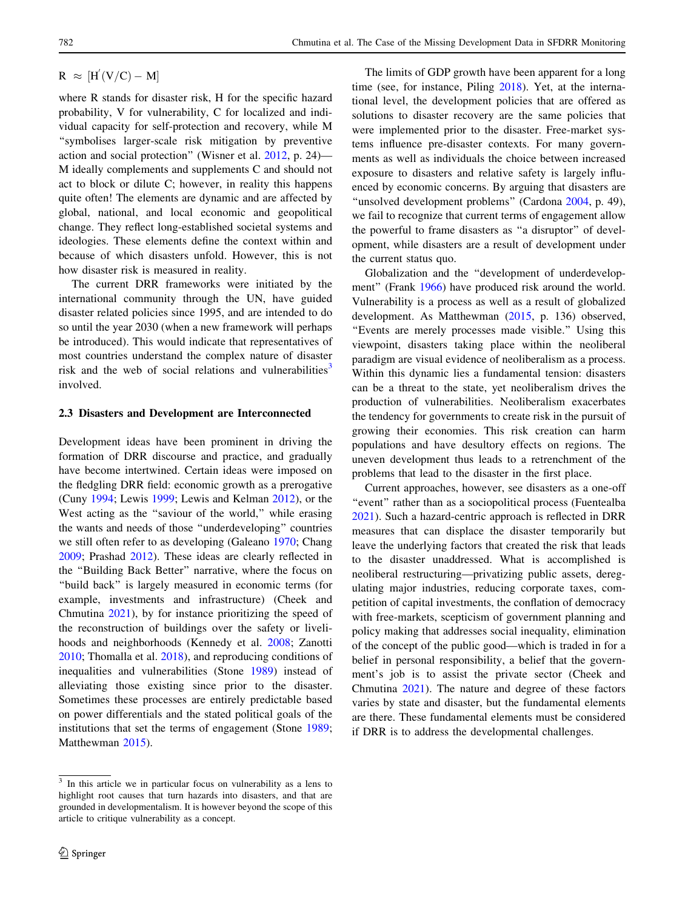$R \approx [H'(V/C) - M]$ 

where R stands for disaster risk, H for the specific hazard probability, V for vulnerability, C for localized and individual capacity for self-protection and recovery, while M ''symbolises larger-scale risk mitigation by preventive action and social protection'' (Wisner et al. [2012,](#page-10-0) p. 24)— M ideally complements and supplements C and should not act to block or dilute C; however, in reality this happens quite often! The elements are dynamic and are affected by global, national, and local economic and geopolitical change. They reflect long-established societal systems and ideologies. These elements define the context within and because of which disasters unfold. However, this is not how disaster risk is measured in reality.

The current DRR frameworks were initiated by the international community through the UN, have guided disaster related policies since 1995, and are intended to do so until the year 2030 (when a new framework will perhaps be introduced). This would indicate that representatives of most countries understand the complex nature of disaster risk and the web of social relations and vulnerabilities<sup>3</sup> involved.

#### 2.3 Disasters and Development are Interconnected

Development ideas have been prominent in driving the formation of DRR discourse and practice, and gradually have become intertwined. Certain ideas were imposed on the fledgling DRR field: economic growth as a prerogative (Cuny [1994;](#page-8-0) Lewis [1999;](#page-9-0) Lewis and Kelman [2012\)](#page-9-0), or the West acting as the "saviour of the world," while erasing the wants and needs of those ''underdeveloping'' countries we still often refer to as developing (Galeano [1970](#page-8-0); Chang [2009;](#page-8-0) Prashad [2012](#page-9-0)). These ideas are clearly reflected in the ''Building Back Better'' narrative, where the focus on ''build back'' is largely measured in economic terms (for example, investments and infrastructure) (Cheek and Chmutina [2021](#page-8-0)), by for instance prioritizing the speed of the reconstruction of buildings over the safety or livelihoods and neighborhoods (Kennedy et al. [2008;](#page-9-0) Zanotti [2010;](#page-10-0) Thomalla et al. [2018\)](#page-9-0), and reproducing conditions of inequalities and vulnerabilities (Stone [1989\)](#page-9-0) instead of alleviating those existing since prior to the disaster. Sometimes these processes are entirely predictable based on power differentials and the stated political goals of the institutions that set the terms of engagement (Stone [1989](#page-9-0); Matthewman [2015](#page-9-0)).

The limits of GDP growth have been apparent for a long time (see, for instance, Piling [2018](#page-9-0)). Yet, at the international level, the development policies that are offered as solutions to disaster recovery are the same policies that were implemented prior to the disaster. Free-market systems influence pre-disaster contexts. For many governments as well as individuals the choice between increased exposure to disasters and relative safety is largely influenced by economic concerns. By arguing that disasters are "unsolved development problems" (Cardona [2004](#page-8-0), p. 49), we fail to recognize that current terms of engagement allow the powerful to frame disasters as ''a disruptor'' of development, while disasters are a result of development under the current status quo.

Globalization and the ''development of underdevelop-ment" (Frank [1966\)](#page-8-0) have produced risk around the world. Vulnerability is a process as well as a result of globalized development. As Matthewman [\(2015,](#page-9-0) p. 136) observed, ''Events are merely processes made visible.'' Using this viewpoint, disasters taking place within the neoliberal paradigm are visual evidence of neoliberalism as a process. Within this dynamic lies a fundamental tension: disasters can be a threat to the state, yet neoliberalism drives the production of vulnerabilities. Neoliberalism exacerbates the tendency for governments to create risk in the pursuit of growing their economies. This risk creation can harm populations and have desultory effects on regions. The uneven development thus leads to a retrenchment of the problems that lead to the disaster in the first place.

Current approaches, however, see disasters as a one-off "event" rather than as a sociopolitical process (Fuentealba [2021](#page-8-0)). Such a hazard-centric approach is reflected in DRR measures that can displace the disaster temporarily but leave the underlying factors that created the risk that leads to the disaster unaddressed. What is accomplished is neoliberal restructuring—privatizing public assets, deregulating major industries, reducing corporate taxes, competition of capital investments, the conflation of democracy with free-markets, scepticism of government planning and policy making that addresses social inequality, elimination of the concept of the public good—which is traded in for a belief in personal responsibility, a belief that the government's job is to assist the private sector (Cheek and Chmutina [2021\)](#page-8-0). The nature and degree of these factors varies by state and disaster, but the fundamental elements are there. These fundamental elements must be considered if DRR is to address the developmental challenges.

 $\frac{3}{3}$  In this article we in particular focus on vulnerability as a lens to highlight root causes that turn hazards into disasters, and that are grounded in developmentalism. It is however beyond the scope of this article to critique vulnerability as a concept.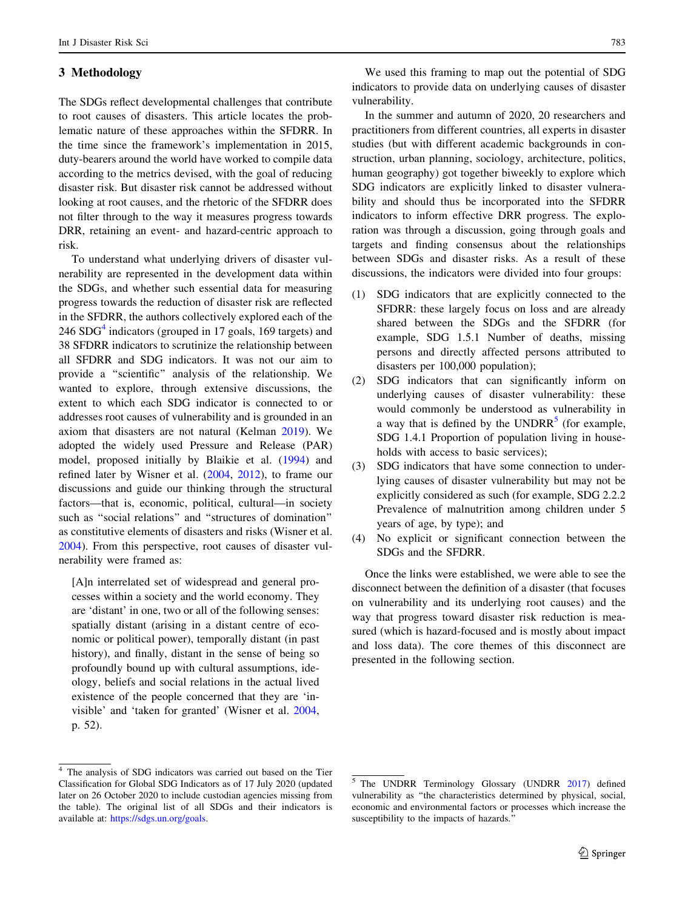## 3 Methodology

The SDGs reflect developmental challenges that contribute to root causes of disasters. This article locates the problematic nature of these approaches within the SFDRR. In the time since the framework's implementation in 2015, duty-bearers around the world have worked to compile data according to the metrics devised, with the goal of reducing disaster risk. But disaster risk cannot be addressed without looking at root causes, and the rhetoric of the SFDRR does not filter through to the way it measures progress towards DRR, retaining an event- and hazard-centric approach to risk.

To understand what underlying drivers of disaster vulnerability are represented in the development data within the SDGs, and whether such essential data for measuring progress towards the reduction of disaster risk are reflected in the SFDRR, the authors collectively explored each of the  $246$  SDG<sup>4</sup> indicators (grouped in 17 goals, 169 targets) and 38 SFDRR indicators to scrutinize the relationship between all SFDRR and SDG indicators. It was not our aim to provide a ''scientific'' analysis of the relationship. We wanted to explore, through extensive discussions, the extent to which each SDG indicator is connected to or addresses root causes of vulnerability and is grounded in an axiom that disasters are not natural (Kelman [2019\)](#page-9-0). We adopted the widely used Pressure and Release (PAR) model, proposed initially by Blaikie et al. ([1994\)](#page-8-0) and refined later by Wisner et al. [\(2004](#page-10-0), [2012\)](#page-10-0), to frame our discussions and guide our thinking through the structural factors—that is, economic, political, cultural—in society such as ''social relations'' and ''structures of domination'' as constitutive elements of disasters and risks (Wisner et al. [2004\)](#page-10-0). From this perspective, root causes of disaster vulnerability were framed as:

[A]n interrelated set of widespread and general processes within a society and the world economy. They are 'distant' in one, two or all of the following senses: spatially distant (arising in a distant centre of economic or political power), temporally distant (in past history), and finally, distant in the sense of being so profoundly bound up with cultural assumptions, ideology, beliefs and social relations in the actual lived existence of the people concerned that they are 'invisible' and 'taken for granted' (Wisner et al. [2004](#page-10-0), p. 52).

We used this framing to map out the potential of SDG indicators to provide data on underlying causes of disaster vulnerability.

In the summer and autumn of 2020, 20 researchers and practitioners from different countries, all experts in disaster studies (but with different academic backgrounds in construction, urban planning, sociology, architecture, politics, human geography) got together biweekly to explore which SDG indicators are explicitly linked to disaster vulnerability and should thus be incorporated into the SFDRR indicators to inform effective DRR progress. The exploration was through a discussion, going through goals and targets and finding consensus about the relationships between SDGs and disaster risks. As a result of these discussions, the indicators were divided into four groups:

- (1) SDG indicators that are explicitly connected to the SFDRR: these largely focus on loss and are already shared between the SDGs and the SFDRR (for example, SDG 1.5.1 Number of deaths, missing persons and directly affected persons attributed to disasters per 100,000 population);
- (2) SDG indicators that can significantly inform on underlying causes of disaster vulnerability: these would commonly be understood as vulnerability in a way that is defined by the  $\text{UNDRR}^5$  (for example, SDG 1.4.1 Proportion of population living in households with access to basic services);
- (3) SDG indicators that have some connection to underlying causes of disaster vulnerability but may not be explicitly considered as such (for example, SDG 2.2.2 Prevalence of malnutrition among children under 5 years of age, by type); and
- (4) No explicit or significant connection between the SDGs and the SFDRR.

Once the links were established, we were able to see the disconnect between the definition of a disaster (that focuses on vulnerability and its underlying root causes) and the way that progress toward disaster risk reduction is measured (which is hazard-focused and is mostly about impact and loss data). The core themes of this disconnect are presented in the following section.

<sup>&</sup>lt;sup>4</sup> The analysis of SDG indicators was carried out based on the Tier Classification for Global SDG Indicators as of 17 July 2020 (updated later on 26 October 2020 to include custodian agencies missing from the table). The original list of all SDGs and their indicators is available at: [https://sdgs.un.org/goals.](https://sdgs.un.org/goals)

<sup>5</sup> The UNDRR Terminology Glossary (UNDRR [2017](#page-9-0)) defined vulnerability as ''the characteristics determined by physical, social, economic and environmental factors or processes which increase the susceptibility to the impacts of hazards.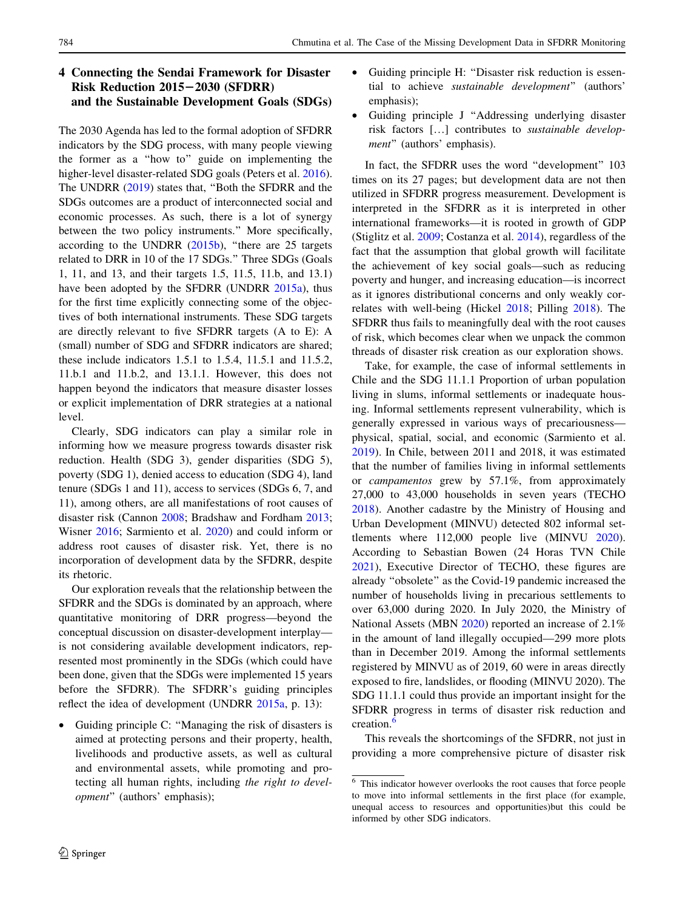# 4 Connecting the Sendai Framework for Disaster Risk Reduction 2015-2030 (SFDRR) and the Sustainable Development Goals (SDGs)

The 2030 Agenda has led to the formal adoption of SFDRR indicators by the SDG process, with many people viewing the former as a ''how to'' guide on implementing the higher-level disaster-related SDG goals (Peters et al. [2016](#page-9-0)). The UNDRR [\(2019](#page-9-0)) states that, ''Both the SFDRR and the SDGs outcomes are a product of interconnected social and economic processes. As such, there is a lot of synergy between the two policy instruments.'' More specifically, according to the UNDRR [\(2015b](#page-9-0)), "there are 25 targets related to DRR in 10 of the 17 SDGs.'' Three SDGs (Goals 1, 11, and 13, and their targets 1.5, 11.5, 11.b, and 13.1) have been adopted by the SFDRR (UNDRR [2015a\)](#page-9-0), thus for the first time explicitly connecting some of the objectives of both international instruments. These SDG targets are directly relevant to five SFDRR targets (A to E): A (small) number of SDG and SFDRR indicators are shared; these include indicators 1.5.1 to 1.5.4, 11.5.1 and 11.5.2, 11.b.1 and 11.b.2, and 13.1.1. However, this does not happen beyond the indicators that measure disaster losses or explicit implementation of DRR strategies at a national level.

Clearly, SDG indicators can play a similar role in informing how we measure progress towards disaster risk reduction. Health (SDG 3), gender disparities (SDG 5), poverty (SDG 1), denied access to education (SDG 4), land tenure (SDGs 1 and 11), access to services (SDGs 6, 7, and 11), among others, are all manifestations of root causes of disaster risk (Cannon [2008](#page-8-0); Bradshaw and Fordham [2013](#page-8-0); Wisner [2016;](#page-10-0) Sarmiento et al. [2020](#page-9-0)) and could inform or address root causes of disaster risk. Yet, there is no incorporation of development data by the SFDRR, despite its rhetoric.

Our exploration reveals that the relationship between the SFDRR and the SDGs is dominated by an approach, where quantitative monitoring of DRR progress—beyond the conceptual discussion on disaster-development interplay is not considering available development indicators, represented most prominently in the SDGs (which could have been done, given that the SDGs were implemented 15 years before the SFDRR). The SFDRR's guiding principles reflect the idea of development (UNDRR [2015a,](#page-9-0) p. 13):

• Guiding principle C: ''Managing the risk of disasters is aimed at protecting persons and their property, health, livelihoods and productive assets, as well as cultural and environmental assets, while promoting and protecting all human rights, including the right to development'' (authors' emphasis);

- Guiding principle H: ''Disaster risk reduction is essential to achieve sustainable development'' (authors' emphasis);
- Guiding principle J ''Addressing underlying disaster risk factors […] contributes to sustainable development" (authors' emphasis).

In fact, the SFDRR uses the word ''development'' 103 times on its 27 pages; but development data are not then utilized in SFDRR progress measurement. Development is interpreted in the SFDRR as it is interpreted in other international frameworks—it is rooted in growth of GDP (Stiglitz et al. [2009](#page-9-0); Costanza et al. [2014\)](#page-8-0), regardless of the fact that the assumption that global growth will facilitate the achievement of key social goals—such as reducing poverty and hunger, and increasing education—is incorrect as it ignores distributional concerns and only weakly correlates with well-being (Hickel [2018](#page-8-0); Pilling [2018\)](#page-9-0). The SFDRR thus fails to meaningfully deal with the root causes of risk, which becomes clear when we unpack the common threads of disaster risk creation as our exploration shows.

Take, for example, the case of informal settlements in Chile and the SDG 11.1.1 Proportion of urban population living in slums, informal settlements or inadequate housing. Informal settlements represent vulnerability, which is generally expressed in various ways of precariousness physical, spatial, social, and economic (Sarmiento et al. [2019](#page-9-0)). In Chile, between 2011 and 2018, it was estimated that the number of families living in informal settlements or campamentos grew by 57.1%, from approximately 27,000 to 43,000 households in seven years (TECHO [2018](#page-9-0)). Another cadastre by the Ministry of Housing and Urban Development (MINVU) detected 802 informal settlements where 112,000 people live (MINVU [2020](#page-9-0)). According to Sebastian Bowen (24 Horas TVN Chile [2021](#page-9-0)), Executive Director of TECHO, these figures are already ''obsolete'' as the Covid-19 pandemic increased the number of households living in precarious settlements to over 63,000 during 2020. In July 2020, the Ministry of National Assets (MBN [2020](#page-9-0)) reported an increase of 2.1% in the amount of land illegally occupied—299 more plots than in December 2019. Among the informal settlements registered by MINVU as of 2019, 60 were in areas directly exposed to fire, landslides, or flooding (MINVU 2020). The SDG 11.1.1 could thus provide an important insight for the SFDRR progress in terms of disaster risk reduction and creation.<sup>6</sup>

This reveals the shortcomings of the SFDRR, not just in providing a more comprehensive picture of disaster risk

<sup>6</sup> This indicator however overlooks the root causes that force people to move into informal settlements in the first place (for example, unequal access to resources and opportunities)but this could be informed by other SDG indicators.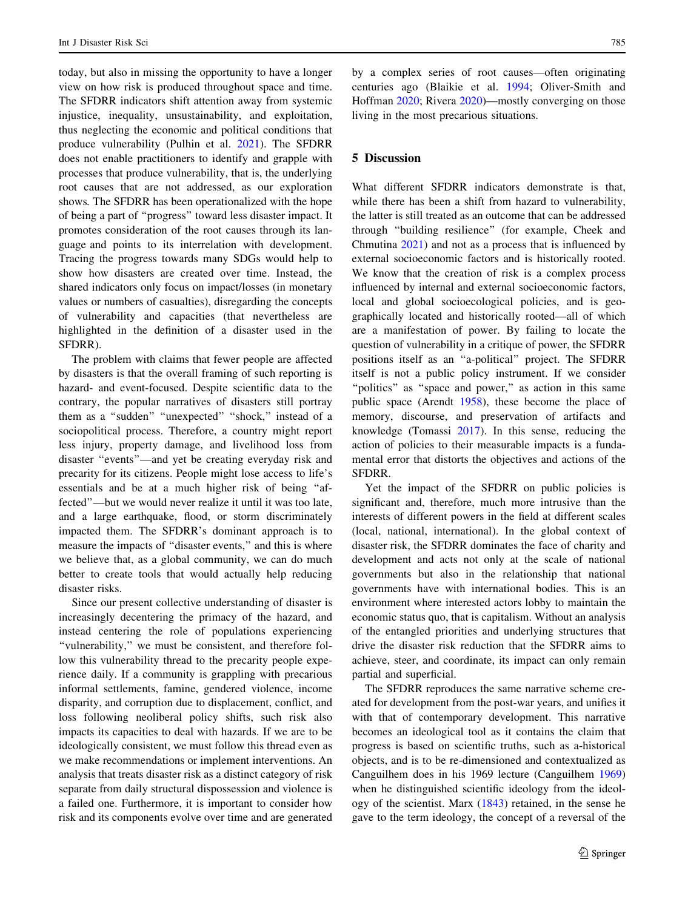today, but also in missing the opportunity to have a longer view on how risk is produced throughout space and time. The SFDRR indicators shift attention away from systemic injustice, inequality, unsustainability, and exploitation, thus neglecting the economic and political conditions that produce vulnerability (Pulhin et al. [2021](#page-9-0)). The SFDRR does not enable practitioners to identify and grapple with processes that produce vulnerability, that is, the underlying root causes that are not addressed, as our exploration shows. The SFDRR has been operationalized with the hope of being a part of ''progress'' toward less disaster impact. It promotes consideration of the root causes through its language and points to its interrelation with development. Tracing the progress towards many SDGs would help to show how disasters are created over time. Instead, the shared indicators only focus on impact/losses (in monetary values or numbers of casualties), disregarding the concepts of vulnerability and capacities (that nevertheless are highlighted in the definition of a disaster used in the SFDRR).

The problem with claims that fewer people are affected by disasters is that the overall framing of such reporting is hazard- and event-focused. Despite scientific data to the contrary, the popular narratives of disasters still portray them as a "sudden" "unexpected" "shock," instead of a sociopolitical process. Therefore, a country might report less injury, property damage, and livelihood loss from disaster ''events''—and yet be creating everyday risk and precarity for its citizens. People might lose access to life's essentials and be at a much higher risk of being ''affected''—but we would never realize it until it was too late, and a large earthquake, flood, or storm discriminately impacted them. The SFDRR's dominant approach is to measure the impacts of ''disaster events,'' and this is where we believe that, as a global community, we can do much better to create tools that would actually help reducing disaster risks.

Since our present collective understanding of disaster is increasingly decentering the primacy of the hazard, and instead centering the role of populations experiencing ''vulnerability,'' we must be consistent, and therefore follow this vulnerability thread to the precarity people experience daily. If a community is grappling with precarious informal settlements, famine, gendered violence, income disparity, and corruption due to displacement, conflict, and loss following neoliberal policy shifts, such risk also impacts its capacities to deal with hazards. If we are to be ideologically consistent, we must follow this thread even as we make recommendations or implement interventions. An analysis that treats disaster risk as a distinct category of risk separate from daily structural dispossession and violence is a failed one. Furthermore, it is important to consider how risk and its components evolve over time and are generated by a complex series of root causes—often originating centuries ago (Blaikie et al. [1994](#page-8-0); Oliver-Smith and Hoffman [2020;](#page-9-0) Rivera [2020\)](#page-9-0)—mostly converging on those living in the most precarious situations.

# 5 Discussion

What different SFDRR indicators demonstrate is that, while there has been a shift from hazard to vulnerability, the latter is still treated as an outcome that can be addressed through ''building resilience'' (for example, Cheek and Chmutina [2021\)](#page-8-0) and not as a process that is influenced by external socioeconomic factors and is historically rooted. We know that the creation of risk is a complex process influenced by internal and external socioeconomic factors, local and global socioecological policies, and is geographically located and historically rooted—all of which are a manifestation of power. By failing to locate the question of vulnerability in a critique of power, the SFDRR positions itself as an ''a-political'' project. The SFDRR itself is not a public policy instrument. If we consider "politics" as "space and power," as action in this same public space (Arendt [1958\)](#page-8-0), these become the place of memory, discourse, and preservation of artifacts and knowledge (Tomassi [2017\)](#page-9-0). In this sense, reducing the action of policies to their measurable impacts is a fundamental error that distorts the objectives and actions of the SFDRR.

Yet the impact of the SFDRR on public policies is significant and, therefore, much more intrusive than the interests of different powers in the field at different scales (local, national, international). In the global context of disaster risk, the SFDRR dominates the face of charity and development and acts not only at the scale of national governments but also in the relationship that national governments have with international bodies. This is an environment where interested actors lobby to maintain the economic status quo, that is capitalism. Without an analysis of the entangled priorities and underlying structures that drive the disaster risk reduction that the SFDRR aims to achieve, steer, and coordinate, its impact can only remain partial and superficial.

The SFDRR reproduces the same narrative scheme created for development from the post-war years, and unifies it with that of contemporary development. This narrative becomes an ideological tool as it contains the claim that progress is based on scientific truths, such as a-historical objects, and is to be re-dimensioned and contextualized as Canguilhem does in his 1969 lecture (Canguilhem [1969\)](#page-8-0) when he distinguished scientific ideology from the ideology of the scientist. Marx ([1843](#page-9-0)) retained, in the sense he gave to the term ideology, the concept of a reversal of the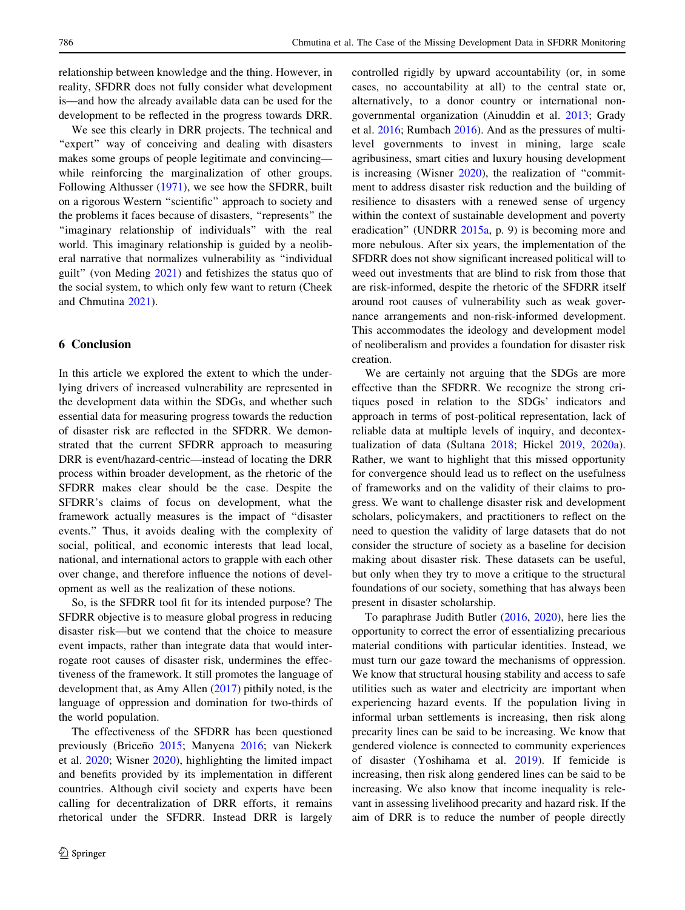relationship between knowledge and the thing. However, in reality, SFDRR does not fully consider what development is—and how the already available data can be used for the development to be reflected in the progress towards DRR.

We see this clearly in DRR projects. The technical and "expert" way of conceiving and dealing with disasters makes some groups of people legitimate and convincing while reinforcing the marginalization of other groups. Following Althusser ([1971](#page-8-0)), we see how the SFDRR, built on a rigorous Western ''scientific'' approach to society and the problems it faces because of disasters, ''represents'' the ''imaginary relationship of individuals'' with the real world. This imaginary relationship is guided by a neoliberal narrative that normalizes vulnerability as ''individual guilt'' (von Meding [2021\)](#page-10-0) and fetishizes the status quo of the social system, to which only few want to return (Cheek and Chmutina [2021\)](#page-8-0).

## 6 Conclusion

In this article we explored the extent to which the underlying drivers of increased vulnerability are represented in the development data within the SDGs, and whether such essential data for measuring progress towards the reduction of disaster risk are reflected in the SFDRR. We demonstrated that the current SFDRR approach to measuring DRR is event/hazard-centric—instead of locating the DRR process within broader development, as the rhetoric of the SFDRR makes clear should be the case. Despite the SFDRR's claims of focus on development, what the framework actually measures is the impact of ''disaster events.'' Thus, it avoids dealing with the complexity of social, political, and economic interests that lead local, national, and international actors to grapple with each other over change, and therefore influence the notions of development as well as the realization of these notions.

So, is the SFDRR tool fit for its intended purpose? The SFDRR objective is to measure global progress in reducing disaster risk—but we contend that the choice to measure event impacts, rather than integrate data that would interrogate root causes of disaster risk, undermines the effectiveness of the framework. It still promotes the language of development that, as Amy Allen [\(2017](#page-8-0)) pithily noted, is the language of oppression and domination for two-thirds of the world population.

The effectiveness of the SFDRR has been questioned previously (Briceño [2015;](#page-8-0) Manyena [2016](#page-9-0); van Niekerk et al. [2020;](#page-9-0) Wisner [2020\)](#page-10-0), highlighting the limited impact and benefits provided by its implementation in different countries. Although civil society and experts have been calling for decentralization of DRR efforts, it remains rhetorical under the SFDRR. Instead DRR is largely controlled rigidly by upward accountability (or, in some cases, no accountability at all) to the central state or, alternatively, to a donor country or international nongovernmental organization (Ainuddin et al. [2013;](#page-8-0) Grady et al. [2016](#page-8-0); Rumbach [2016\)](#page-9-0). And as the pressures of multilevel governments to invest in mining, large scale agribusiness, smart cities and luxury housing development is increasing (Wisner [2020\)](#page-10-0), the realization of ''commitment to address disaster risk reduction and the building of resilience to disasters with a renewed sense of urgency within the context of sustainable development and poverty eradication'' (UNDRR [2015a](#page-9-0), p. 9) is becoming more and more nebulous. After six years, the implementation of the SFDRR does not show significant increased political will to weed out investments that are blind to risk from those that are risk-informed, despite the rhetoric of the SFDRR itself around root causes of vulnerability such as weak governance arrangements and non-risk-informed development. This accommodates the ideology and development model of neoliberalism and provides a foundation for disaster risk creation.

We are certainly not arguing that the SDGs are more effective than the SFDRR. We recognize the strong critiques posed in relation to the SDGs' indicators and approach in terms of post-political representation, lack of reliable data at multiple levels of inquiry, and decontextualization of data (Sultana [2018;](#page-9-0) Hickel [2019](#page-8-0), [2020a](#page-8-0)). Rather, we want to highlight that this missed opportunity for convergence should lead us to reflect on the usefulness of frameworks and on the validity of their claims to progress. We want to challenge disaster risk and development scholars, policymakers, and practitioners to reflect on the need to question the validity of large datasets that do not consider the structure of society as a baseline for decision making about disaster risk. These datasets can be useful, but only when they try to move a critique to the structural foundations of our society, something that has always been present in disaster scholarship.

To paraphrase Judith Butler ([2016,](#page-8-0) [2020\)](#page-8-0), here lies the opportunity to correct the error of essentializing precarious material conditions with particular identities. Instead, we must turn our gaze toward the mechanisms of oppression. We know that structural housing stability and access to safe utilities such as water and electricity are important when experiencing hazard events. If the population living in informal urban settlements is increasing, then risk along precarity lines can be said to be increasing. We know that gendered violence is connected to community experiences of disaster (Yoshihama et al. [2019\)](#page-10-0). If femicide is increasing, then risk along gendered lines can be said to be increasing. We also know that income inequality is relevant in assessing livelihood precarity and hazard risk. If the aim of DRR is to reduce the number of people directly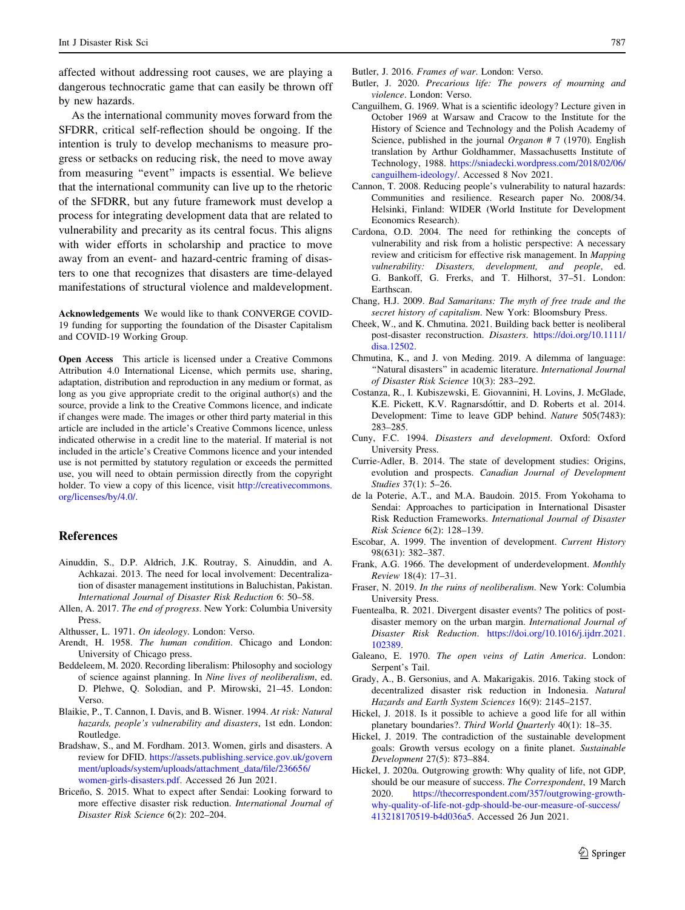<span id="page-8-0"></span>affected without addressing root causes, we are playing a dangerous technocratic game that can easily be thrown off by new hazards.

As the international community moves forward from the SFDRR, critical self-reflection should be ongoing. If the intention is truly to develop mechanisms to measure progress or setbacks on reducing risk, the need to move away from measuring ''event'' impacts is essential. We believe that the international community can live up to the rhetoric of the SFDRR, but any future framework must develop a process for integrating development data that are related to vulnerability and precarity as its central focus. This aligns with wider efforts in scholarship and practice to move away from an event- and hazard-centric framing of disasters to one that recognizes that disasters are time-delayed manifestations of structural violence and maldevelopment.

Acknowledgements We would like to thank CONVERGE COVID-19 funding for supporting the foundation of the Disaster Capitalism and COVID-19 Working Group.

Open Access This article is licensed under a Creative Commons Attribution 4.0 International License, which permits use, sharing, adaptation, distribution and reproduction in any medium or format, as long as you give appropriate credit to the original author(s) and the source, provide a link to the Creative Commons licence, and indicate if changes were made. The images or other third party material in this article are included in the article's Creative Commons licence, unless indicated otherwise in a credit line to the material. If material is not included in the article's Creative Commons licence and your intended use is not permitted by statutory regulation or exceeds the permitted use, you will need to obtain permission directly from the copyright holder. To view a copy of this licence, visit [http://creativecommons.](http://creativecommons.org/licenses/by/4.0/) [org/licenses/by/4.0/.](http://creativecommons.org/licenses/by/4.0/)

#### References

- Ainuddin, S., D.P. Aldrich, J.K. Routray, S. Ainuddin, and A. Achkazai. 2013. The need for local involvement: Decentralization of disaster management institutions in Baluchistan, Pakistan. International Journal of Disaster Risk Reduction 6: 50–58.
- Allen, A. 2017. The end of progress. New York: Columbia University Press.
- Althusser, L. 1971. On ideology. London: Verso.
- Arendt, H. 1958. The human condition. Chicago and London: University of Chicago press.
- Beddeleem, M. 2020. Recording liberalism: Philosophy and sociology of science against planning. In Nine lives of neoliberalism, ed. D. Plehwe, Q. Solodian, and P. Mirowski, 21–45. London: Verso.
- Blaikie, P., T. Cannon, I. Davis, and B. Wisner. 1994. At risk: Natural hazards, people's vulnerability and disasters, 1st edn. London: Routledge.
- Bradshaw, S., and M. Fordham. 2013. Women, girls and disasters. A review for DFID. [https://assets.publishing.service.gov.uk/govern](https://assets.publishing.service.gov.uk/government/uploads/system/uploads/attachment_data/file/236656/women-girls-disasters.pdf) [ment/uploads/system/uploads/attachment\\_data/file/236656/](https://assets.publishing.service.gov.uk/government/uploads/system/uploads/attachment_data/file/236656/women-girls-disasters.pdf) [women-girls-disasters.pdf](https://assets.publishing.service.gov.uk/government/uploads/system/uploads/attachment_data/file/236656/women-girls-disasters.pdf). Accessed 26 Jun 2021.
- Briceño, S. 2015. What to expect after Sendai: Looking forward to more effective disaster risk reduction. International Journal of Disaster Risk Science 6(2): 202–204.

Butler, J. 2016. Frames of war. London: Verso.

- Butler, J. 2020. Precarious life: The powers of mourning and violence. London: Verso.
- Canguilhem, G. 1969. What is a scientific ideology? Lecture given in October 1969 at Warsaw and Cracow to the Institute for the History of Science and Technology and the Polish Academy of Science, published in the journal *Organon* # 7 (1970). English translation by Arthur Goldhammer, Massachusetts Institute of Technology, 1988. [https://sniadecki.wordpress.com/2018/02/06/](https://sniadecki.wordpress.com/2018/02/06/canguilhem-ideology/) [canguilhem-ideology/.](https://sniadecki.wordpress.com/2018/02/06/canguilhem-ideology/) Accessed 8 Nov 2021.
- Cannon, T. 2008. Reducing people's vulnerability to natural hazards: Communities and resilience. Research paper No. 2008/34. Helsinki, Finland: WIDER (World Institute for Development Economics Research).
- Cardona, O.D. 2004. The need for rethinking the concepts of vulnerability and risk from a holistic perspective: A necessary review and criticism for effective risk management. In Mapping vulnerability: Disasters, development, and people, ed. G. Bankoff, G. Frerks, and T. Hilhorst, 37–51. London: Earthscan.
- Chang, H.J. 2009. Bad Samaritans: The myth of free trade and the secret history of capitalism. New York: Bloomsbury Press.
- Cheek, W., and K. Chmutina. 2021. Building back better is neoliberal post-disaster reconstruction. Disasters. [https://doi.org/10.1111/](https://doi.org/10.1111/disa.12502) [disa.12502](https://doi.org/10.1111/disa.12502).
- Chmutina, K., and J. von Meding. 2019. A dilemma of language: "Natural disasters" in academic literature. International Journal of Disaster Risk Science 10(3): 283–292.
- Costanza, R., I. Kubiszewski, E. Giovannini, H. Lovins, J. McGlade, K.E. Pickett, K.V. Ragnarsdóttir, and D. Roberts et al. 2014. Development: Time to leave GDP behind. Nature 505(7483): 283–285.
- Cuny, F.C. 1994. Disasters and development. Oxford: Oxford University Press.
- Currie-Adler, B. 2014. The state of development studies: Origins, evolution and prospects. Canadian Journal of Development Studies 37(1): 5–26.
- de la Poterie, A.T., and M.A. Baudoin. 2015. From Yokohama to Sendai: Approaches to participation in International Disaster Risk Reduction Frameworks. International Journal of Disaster Risk Science 6(2): 128–139.
- Escobar, A. 1999. The invention of development. Current History 98(631): 382–387.
- Frank, A.G. 1966. The development of underdevelopment. Monthly Review 18(4): 17–31.
- Fraser, N. 2019. In the ruins of neoliberalism. New York: Columbia University Press.
- Fuentealba, R. 2021. Divergent disaster events? The politics of postdisaster memory on the urban margin. International Journal of Disaster Risk Reduction. [https://doi.org/10.1016/j.ijdrr.2021.](https://doi.org/10.1016/j.ijdrr.2021.102389) [102389.](https://doi.org/10.1016/j.ijdrr.2021.102389)
- Galeano, E. 1970. The open veins of Latin America. London: Serpent's Tail.
- Grady, A., B. Gersonius, and A. Makarigakis. 2016. Taking stock of decentralized disaster risk reduction in Indonesia. Natural Hazards and Earth System Sciences 16(9): 2145–2157.
- Hickel, J. 2018. Is it possible to achieve a good life for all within planetary boundaries?. Third World Quarterly 40(1): 18–35.
- Hickel, J. 2019. The contradiction of the sustainable development goals: Growth versus ecology on a finite planet. Sustainable Development 27(5): 873–884.
- Hickel, J. 2020a. Outgrowing growth: Why quality of life, not GDP, should be our measure of success. The Correspondent, 19 March 2020. [https://thecorrespondent.com/357/outgrowing-growth](https://thecorrespondent.com/357/outgrowing-growth-why-quality-of-life-not-gdp-should-be-our-measure-of-success/413218170519-b4d036a5)[why-quality-of-life-not-gdp-should-be-our-measure-of-success/](https://thecorrespondent.com/357/outgrowing-growth-why-quality-of-life-not-gdp-should-be-our-measure-of-success/413218170519-b4d036a5) [413218170519-b4d036a5](https://thecorrespondent.com/357/outgrowing-growth-why-quality-of-life-not-gdp-should-be-our-measure-of-success/413218170519-b4d036a5). Accessed 26 Jun 2021.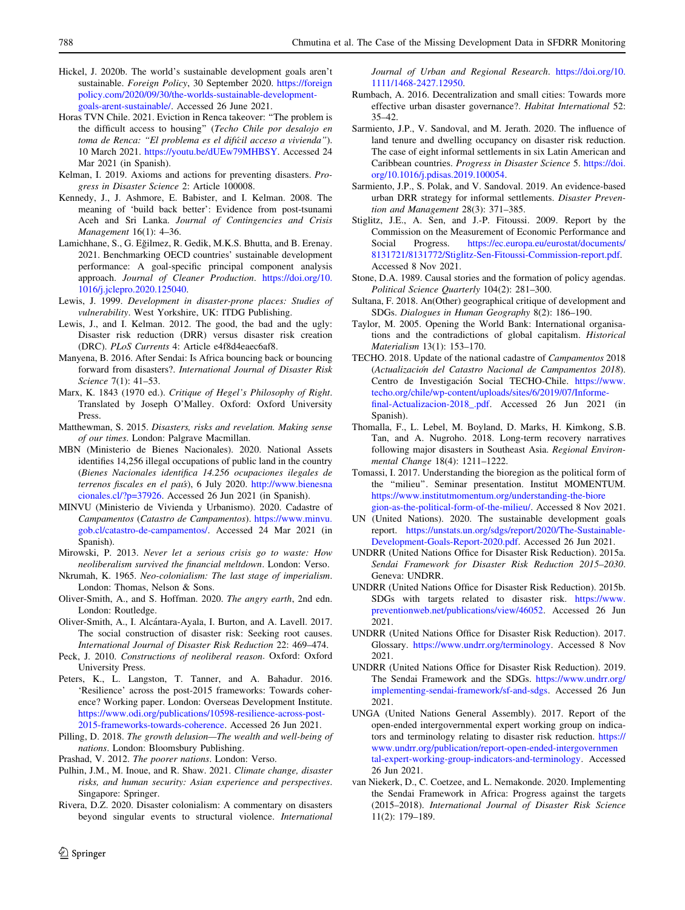- <span id="page-9-0"></span>Hickel, J. 2020b. The world's sustainable development goals aren't sustainable. Foreign Policy, 30 September 2020. [https://foreign](https://foreignpolicy.com/2020/09/30/the-worlds-sustainable-development-goals-arent-sustainable/) [policy.com/2020/09/30/the-worlds-sustainable-development](https://foreignpolicy.com/2020/09/30/the-worlds-sustainable-development-goals-arent-sustainable/)[goals-arent-sustainable/.](https://foreignpolicy.com/2020/09/30/the-worlds-sustainable-development-goals-arent-sustainable/) Accessed 26 June 2021.
- Horas TVN Chile. 2021. Eviction in Renca takeover: ''The problem is the difficult access to housing'' (Techo Chile por desalojo en toma de Renca: "El problema es el difícil acceso a vivienda"). 10 March 2021. <https://youtu.be/dUEw79MHBSY>. Accessed 24 Mar 2021 (in Spanish).
- Kelman, I. 2019. Axioms and actions for preventing disasters. Progress in Disaster Science 2: Article 100008.
- Kennedy, J., J. Ashmore, E. Babister, and I. Kelman. 2008. The meaning of 'build back better': Evidence from post-tsunami Aceh and Sri Lanka. Journal of Contingencies and Crisis Management 16(1): 4–36.
- Lamichhane, S., G. Eğilmez, R. Gedik, M.K.S. Bhutta, and B. Erenay. 2021. Benchmarking OECD countries' sustainable development performance: A goal-specific principal component analysis approach. Journal of Cleaner Production. [https://doi.org/10.](https://doi.org/10.1016/j.jclepro.2020.125040) [1016/j.jclepro.2020.125040](https://doi.org/10.1016/j.jclepro.2020.125040).
- Lewis, J. 1999. Development in disaster-prone places: Studies of vulnerability. West Yorkshire, UK: ITDG Publishing.
- Lewis, J., and I. Kelman. 2012. The good, the bad and the ugly: Disaster risk reduction (DRR) versus disaster risk creation (DRC). PLoS Currents 4: Article e4f8d4eaec6af8.
- Manyena, B. 2016. After Sendai: Is Africa bouncing back or bouncing forward from disasters?. International Journal of Disaster Risk Science 7(1): 41–53.
- Marx, K. 1843 (1970 ed.). Critique of Hegel's Philosophy of Right. Translated by Joseph O'Malley. Oxford: Oxford University Press.
- Matthewman, S. 2015. Disasters, risks and revelation. Making sense of our times. London: Palgrave Macmillan.
- MBN (Ministerio de Bienes Nacionales). 2020. National Assets identifies 14,256 illegal occupations of public land in the country (Bienes Nacionales identifica 14.256 ocupaciones ilegales de terrenos fiscales en el país), 6 July 2020. [http://www.bienesna](http://www.bienesnacionales.cl/?p=37926) [cionales.cl/?p=37926.](http://www.bienesnacionales.cl/?p=37926) Accessed 26 Jun 2021 (in Spanish).
- MINVU (Ministerio de Vivienda y Urbanismo). 2020. Cadastre of Campamentos (Catastro de Campamentos). [https://www.minvu.](https://www.minvu.gob.cl/catastro-de-campamentos/) [gob.cl/catastro-de-campamentos/.](https://www.minvu.gob.cl/catastro-de-campamentos/) Accessed 24 Mar 2021 (in Spanish).
- Mirowski, P. 2013. Never let a serious crisis go to waste: How neoliberalism survived the financial meltdown. London: Verso.
- Nkrumah, K. 1965. Neo-colonialism: The last stage of imperialism. London: Thomas, Nelson & Sons.
- Oliver-Smith, A., and S. Hoffman. 2020. The angry earth, 2nd edn. London: Routledge.
- Oliver-Smith, A., I. Alcántara-Ayala, I. Burton, and A. Lavell. 2017. The social construction of disaster risk: Seeking root causes. International Journal of Disaster Risk Reduction 22: 469–474.
- Peck, J. 2010. Constructions of neoliberal reason. Oxford: Oxford University Press.
- Peters, K., L. Langston, T. Tanner, and A. Bahadur. 2016. 'Resilience' across the post-2015 frameworks: Towards coherence? Working paper. London: Overseas Development Institute. [https://www.odi.org/publications/10598-resilience-across-post-](https://www.odi.org/publications/10598-resilience-across-post-2015-frameworks-towards-coherence)[2015-frameworks-towards-coherence](https://www.odi.org/publications/10598-resilience-across-post-2015-frameworks-towards-coherence). Accessed 26 Jun 2021.
- Pilling, D. 2018. The growth delusion—The wealth and well-being of nations. London: Bloomsbury Publishing.
- Prashad, V. 2012. The poorer nations. London: Verso.
- Pulhin, J.M., M. Inoue, and R. Shaw. 2021. Climate change, disaster risks, and human security: Asian experience and perspectives. Singapore: Springer.
- Rivera, D.Z. 2020. Disaster colonialism: A commentary on disasters beyond singular events to structural violence. International

Journal of Urban and Regional Research. [https://doi.org/10.](https://doi.org/10.1111/1468-2427.12950) [1111/1468-2427.12950](https://doi.org/10.1111/1468-2427.12950).

- Rumbach, A. 2016. Decentralization and small cities: Towards more effective urban disaster governance?. Habitat International 52: 35–42.
- Sarmiento, J.P., V. Sandoval, and M. Jerath. 2020. The influence of land tenure and dwelling occupancy on disaster risk reduction. The case of eight informal settlements in six Latin American and Caribbean countries. Progress in Disaster Science 5. [https://doi.](https://doi.org/10.1016/j.pdisas.2019.100054) [org/10.1016/j.pdisas.2019.100054.](https://doi.org/10.1016/j.pdisas.2019.100054)
- Sarmiento, J.P., S. Polak, and V. Sandoval. 2019. An evidence-based urban DRR strategy for informal settlements. Disaster Prevention and Management 28(3): 371–385.
- Stiglitz, J.E., A. Sen, and J.-P. Fitoussi. 2009. Report by the Commission on the Measurement of Economic Performance and Social Progress. [https://ec.europa.eu/eurostat/documents/](https://ec.europa.eu/eurostat/documents/8131721/8131772/Stiglitz-Sen-Fitoussi-Commission-report.pdf) [8131721/8131772/Stiglitz-Sen-Fitoussi-Commission-report.pdf](https://ec.europa.eu/eurostat/documents/8131721/8131772/Stiglitz-Sen-Fitoussi-Commission-report.pdf). Accessed 8 Nov 2021.
- Stone, D.A. 1989. Causal stories and the formation of policy agendas. Political Science Quarterly 104(2): 281–300.
- Sultana, F. 2018. An(Other) geographical critique of development and SDGs. Dialogues in Human Geography 8(2): 186–190.
- Taylor, M. 2005. Opening the World Bank: International organisations and the contradictions of global capitalism. Historical Materialism 13(1): 153–170.
- TECHO. 2018. Update of the national cadastre of Campamentos 2018 (Actualización del Catastro Nacional de Campamentos 2018). Centro de Investigación Social TECHO-Chile. [https://www.](https://www.techo.org/chile/wp-content/uploads/sites/6/2019/07/Informe-final-Actualizacion-2018_.pdf) [techo.org/chile/wp-content/uploads/sites/6/2019/07/Informe](https://www.techo.org/chile/wp-content/uploads/sites/6/2019/07/Informe-final-Actualizacion-2018_.pdf)[final-Actualizacion-2018\\_.pdf.](https://www.techo.org/chile/wp-content/uploads/sites/6/2019/07/Informe-final-Actualizacion-2018_.pdf) Accessed 26 Jun 2021 (in Spanish).
- Thomalla, F., L. Lebel, M. Boyland, D. Marks, H. Kimkong, S.B. Tan, and A. Nugroho. 2018. Long-term recovery narratives following major disasters in Southeast Asia. Regional Environmental Change 18(4): 1211–1222.
- Tomassi, I. 2017. Understanding the bioregion as the political form of the ''milieu''. Seminar presentation. Institut MOMENTUM. [https://www.institutmomentum.org/understanding-the-biore](https://www.institutmomentum.org/understanding-the-bioregion-as-the-political-form-of-the-milieu/) [gion-as-the-political-form-of-the-milieu/.](https://www.institutmomentum.org/understanding-the-bioregion-as-the-political-form-of-the-milieu/) Accessed 8 Nov 2021.
- UN (United Nations). 2020. The sustainable development goals report. [https://unstats.un.org/sdgs/report/2020/The-Sustainable-](https://unstats.un.org/sdgs/report/2020/The-Sustainable-Development-Goals-Report-2020.pdf)[Development-Goals-Report-2020.pdf.](https://unstats.un.org/sdgs/report/2020/The-Sustainable-Development-Goals-Report-2020.pdf) Accessed 26 Jun 2021.
- UNDRR (United Nations Office for Disaster Risk Reduction). 2015a. Sendai Framework for Disaster Risk Reduction 2015–2030. Geneva: UNDRR.
- UNDRR (United Nations Office for Disaster Risk Reduction). 2015b. SDGs with targets related to disaster risk. [https://www.](https://www.preventionweb.net/publications/view/46052) [preventionweb.net/publications/view/46052.](https://www.preventionweb.net/publications/view/46052) Accessed 26 Jun 2021.
- UNDRR (United Nations Office for Disaster Risk Reduction). 2017. Glossary. <https://www.undrr.org/terminology>. Accessed 8 Nov 2021.
- UNDRR (United Nations Office for Disaster Risk Reduction). 2019. The Sendai Framework and the SDGs. [https://www.undrr.org/](https://www.undrr.org/implementing-sendai-framework/sf-and-sdgs) [implementing-sendai-framework/sf-and-sdgs](https://www.undrr.org/implementing-sendai-framework/sf-and-sdgs). Accessed 26 Jun 2021.
- UNGA (United Nations General Assembly). 2017. Report of the open-ended intergovernmental expert working group on indicators and terminology relating to disaster risk reduction. [https://](https://www.undrr.org/publication/report-open-ended-intergovernmental-expert-working-group-indicators-and-terminology) [www.undrr.org/publication/report-open-ended-intergovernmen](https://www.undrr.org/publication/report-open-ended-intergovernmental-expert-working-group-indicators-and-terminology) [tal-expert-working-group-indicators-and-terminology](https://www.undrr.org/publication/report-open-ended-intergovernmental-expert-working-group-indicators-and-terminology). Accessed 26 Jun 2021.
- van Niekerk, D., C. Coetzee, and L. Nemakonde. 2020. Implementing the Sendai Framework in Africa: Progress against the targets (2015–2018). International Journal of Disaster Risk Science 11(2): 179–189.